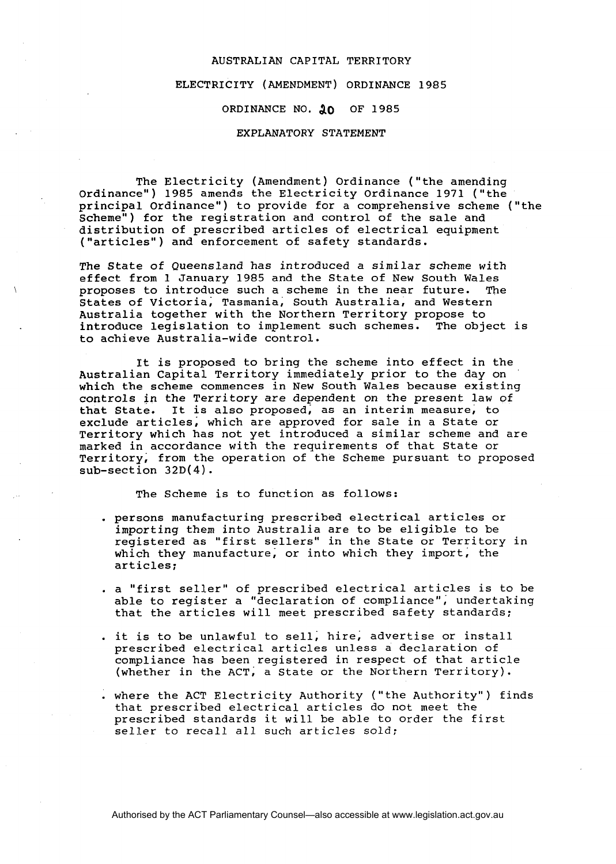#### AUSTRALIAN CAPITAL TERRITORY

## ELECTRICITY (AMENDMENT) ORDINANCE **1985**

# ORDINANCE NO. 10 OF 1985

### EXPLANATORY STATEMENT

The Electricity (Amendment) Ordinance ('the amending ordinance") **1985** amends the Electricity Ordinance **1971** ("the principal ordinance") to provide for a comprehensive scheme ("the scheme") for the registration and control of the sale and distribution of prescribed articles of electrical equipment ("articles") and enforcement of safety standards.

The State of Queensland has introduced a similar scheme with effect from **1** January **1985** and the State of New South Wales proposes to introduce such a scheme in the near future. States of Victoria, Tasmania, South Australia, and Western Australia together with the Northern Territory propose to introduce legislation to implement such schemes. The object is to achieve Australia-wide control.

It is proposed to bring the scheme into effect in the Australian Capital Territory immediately prior to the day on which the scheme commences in New South Wales because existing controls in the Territory are dependent on the present law of<br>that State. It is also proposed, as an interim measure, to It is also proposed, as an interim measure, to exclude articles; which are approved for sale in a State or Territory which has not yet introduced a similar scheme and are marked in accordance with the requirements of that State or Territory, from the operation of the Scheme pursuant to proposed sub-section 32D(4).

The Scheme is to function as follows:

- . persons manufacturing prescribed electrical articles or importing them into Australia are to be eligible to be registered as "first sellers" in the State or Territory in which they manufacture, or into which they import, the articles;
- . a "first seller" of prescribed electrical articles is to be able to register a "declaration of compliance"; undertaking that the articles will meet prescribed safety standards;
- . it is to be unlawful to sell, hire, advertise or install prescribed electrical articles unless a declaration of compliance has been registered in respect of that article (whether in the ACT; a State or the Northern Territory).
- . where the ACT Electricity Authority ("the Authority") finds that prescribed electrical articles do not meet the prescribed standards it will be able to order the first seller to recall all such articles sold;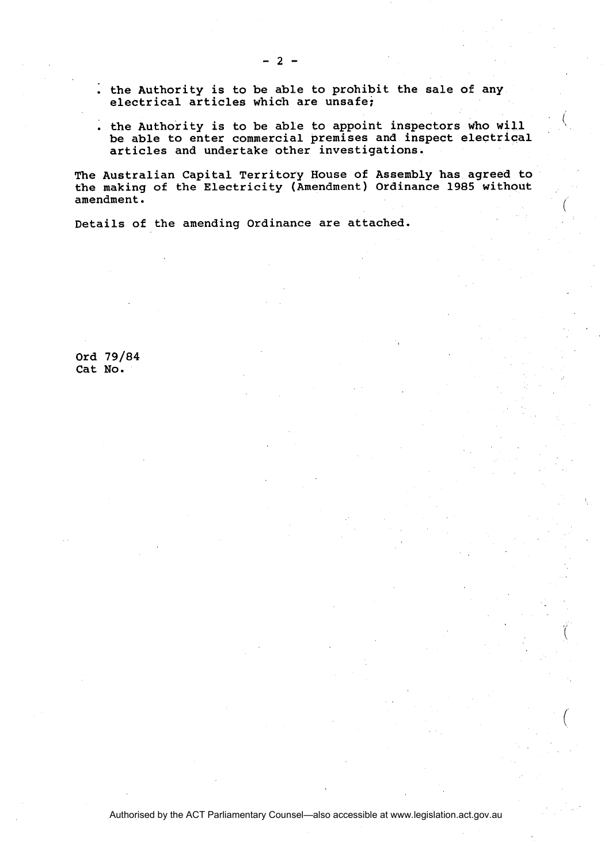- . the Authority is to be able to prohibit the sale of any electrical articles which are unsafe;
- . the Authority is to be able to appoint inspectors who will be able to enter commercial premises and inspect electrical articles and undertake other investigations.

The Australian Capital Territory House of Assembly has agreed to the making of the Electricity (Amendment) Ordinance 1985 without<br>amendment. amendment.  $\left( \begin{array}{c} 0 & 0 \\ 0 & 0 \end{array} \right)$ 

Details of the amending Ordinance are attached.

Ord 79/84 Cat No.

 $\overline{2}$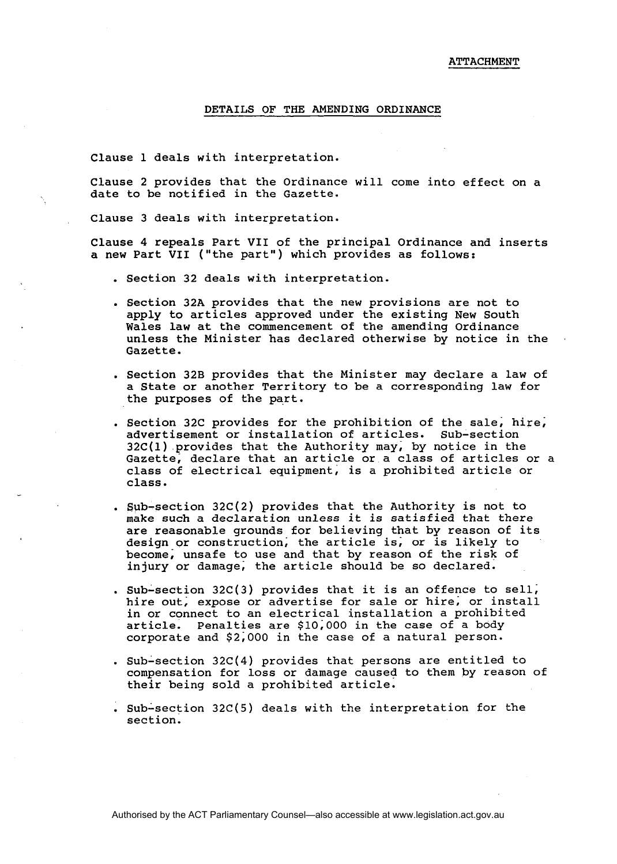### DETAILS OF THE AMENDING ORDINANCE

Clause 1 deals with interpretation.

Clause 2 provides that the Ordinance will come into effect on a date to be notified in the Gazette.

Clause 3 deals with interpretation.

Clause 4 repeals Part VII of the principal Ordinance and inserts a new Part **VII** ("the part") which provides as follows:

- . Section 32 deals with interpretation.
- . Section 32A provides that the new provisions are not to apply to articles approved under the existing New South Wales law at the commencement of the amending Ordinance unless the Minister has declared otherwise by notice in the Gazette.
- . Section 32B provides that the Minister may declare a law of a State or another Territory to be a corresponding law for the purposes of the part.
- . Section 32C provides for the prohibition of the sale; hire; advertisement or installation of articles. Sub-section 32C(1) provides that the Authority may; by notice in the Gazette, declare that an article or a class of articles or a class of electrical equipment, is a prohibited article or class.
- . sub-section 32C(2) provides that the Authority is not to make such a declaration unless it is satisfied that there are reasonable grounds for believing that by reason of its design or construction; the article is; or is likely to become; unsafe to use and that by reason of the risk of injury or damage; the article should be so declared.
- . sub-section 32C(3) provides that it is an offence to sell; hire out, expose or advertise for sale or hire, or install in or connect to an electrical installation a prohibited article. Penalties are \$10;000 in the case of a body corporate and \$2;000 in the case of a natural person.
- . Sub-section  $32C(4)$  provides that persons are entitled to compensation for loss or damage caused to them by reason of their being sold a prohibited article.
- . Sub-section 32C(5) deals with the interpretation for the section.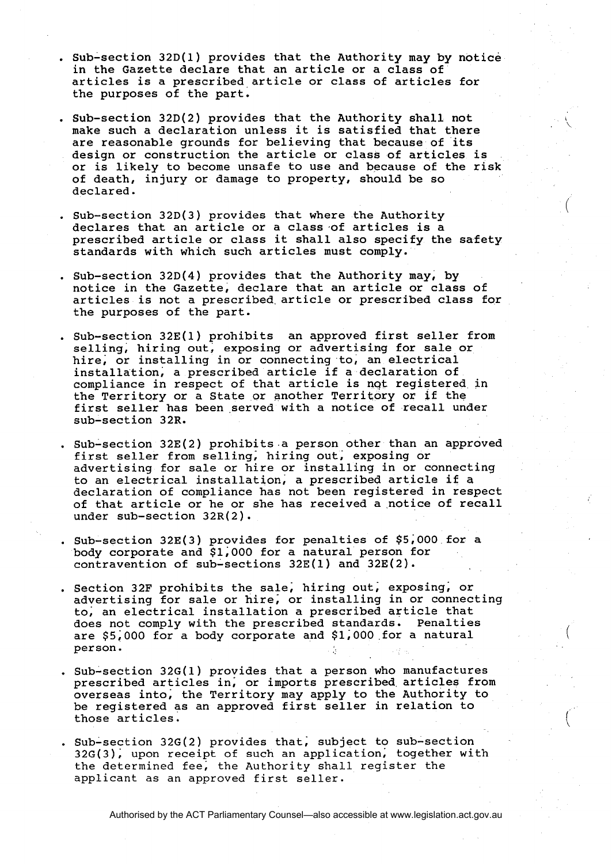- . Sub-section 32D(1) provides that the Authority may by notice in the Gazette declare that an article or a class of articles is a prescribed article or class of articles for the purposes of the part.
- . Sub-section  $32D(2)$  provides that the Authority shall not make such a declaration unless it is satisfied that there are reasonable grounds for believing that because of its design or construction the article or class of articles is or is likely to become unsafe to use and because of the risk of death, injury or damage to property, should be so declared.
- . Sub-section 32D(3) provides that where the Authority declares that an article or a class of articles is a prescribed article or class it shall also specify the safety standards with which such articles must comply.
- . Sub-section 32D(4) provides that the Authority may, by notice in the Gazette, declare that an article or class of articles is not a prescribed article or prescribed class for the purposes of the part.
- . Sub-section 32E(1) prohibits an approved first seller from selling, hiring out, exposing or advertising for sale or hire, or installing in or connecting to, an electrical installation; a prescribed article if a declaration of compliance in respect of that article is nqt registered in the Territory or a State or another Territory or if the first seller has been served with a notice of recall under sub-section 32R.
- . Sub-section 32E(2) prohibits a person other than an approved first seller from selling, hiring out, exposing or advertising for sale or hire or installing in or connecting to an electrical installation, a prescribed article if a declaration of compliance has not been registered in respect of that article or he or she has received a notice of recall under sub-section  $32R(2)$ .
- . Sub-section 32E(3) provides for penalties of \$5,000 for a body corporate and \$1;000 for a natural person for contravention of sub-sections 32E(1) and 32E(2).
- . Section 32F prohibits the sale, hiring out, exposing, or advertising for sale or hire; or installing in or connecting to; an electrical installation a prescribed article that does not comply with the prescribed standards. Penalties are \$5;000 for a body corporate and \$1;000 for a natural per son.

(

- . Sub-section 32G(1) provides that a person who manufactures prescribed articles in; or imports prescribed articles from overseas into; the Territory may apply to the Authority to be registered as an approved first seller in relation to those articles.
- . Sub-section 32G(2) provides that, subject to sub-section  $32G(3)$ , upon receipt of such an application, together with the determined fee; the Authority shall register the applicant as an approved first seller.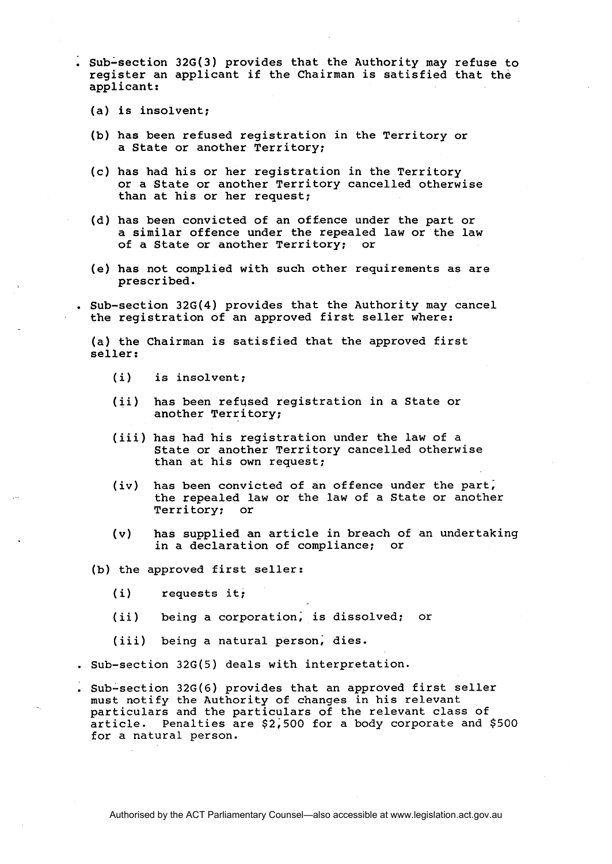. Sub-section 32G(3) provides that the Authority may refuse to register an applicant if the Chairman is satisfied that the applicant:

- (a) is insolvent;
- (b) has been refused registration in the Territory or a State or another Territory;
- (c) has had his or her registration in the Territory or a State or another Territory cancelled otherwise than at his or her request;
- (d) has been convicted of an offence under the part or a similar offence under the repealed law or the law<br>of a State or another Territory; or of a State or another Territory;
- (e) has not complied with such other requirements as are prescribed.

. Sub-section 32G(4) provides that the Authority may cancel the registration of an approved first seller where:

(a) the Chairman is satisfied that the approved first seller:

- (i) is insolvent;
- (ii) has been refused registration in a State or another Territory;
- (iii) has had his registration under the law of a State or another Territory cancelled otherwise than at his own request;
- (iv) has been convicted of an offence under the part; the repealed law or the law of a State or another Territory; or
- (v) has supplied an article in breach of an undertaking in a declaration of compliance;
- (b) the approved first seller:
	- (i) requests it;
	- (ii) being a corporation; is dissolved; or
	- (iii) being a natural person; dies.
- . Sub-section 32G(5) deals with interpretation.
- . Sub-section 32G(6) provides that an approved first seller must notify the Authority of changes in his relevant particulars and the particulars of the relevant class of article. Penalties are \$2;500 for a body corporate and \$500 for a natural person.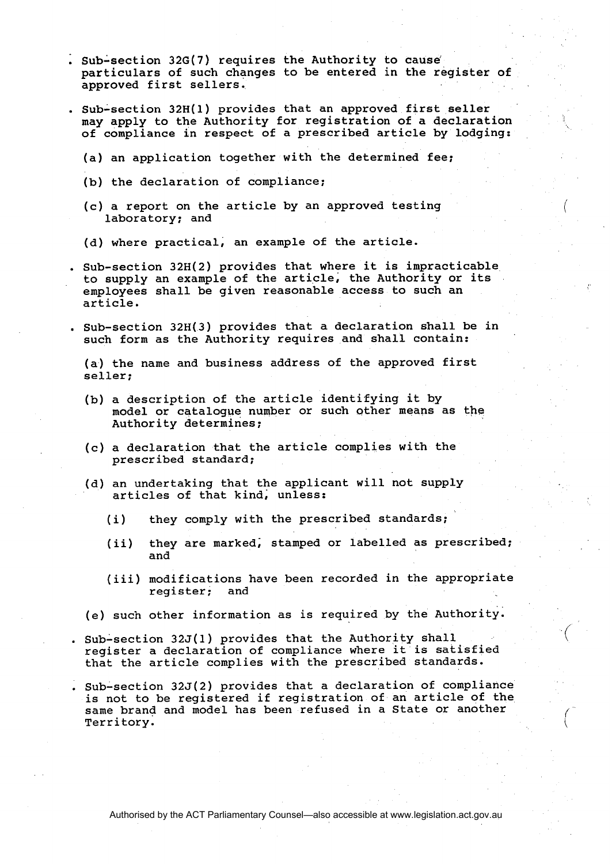- . Sub-section 32G(7) requires the Authority to cause particulars of such changes to be entered in the register of approved first sellers.
- . Sub-section 32H(1) provides that an approved first seller may apply to the Authority for registration of a declaration of compliance in respect of a prescribed article by lodging:
	- (a) an application together with the determined fee;
	- (b) the declaration of compliance;
	- (c) a report on the article by an approved testing laboratory; and
	- (d) where practical, an example of the article.
- . Sub-section 32H(2) provides that where it is impracticable to supply an example of the article, the Authority or its employees shall be given reasonable access to such an article.
- . Sub-section 32H(3) provides that a declaration shall be in such form as the Authority requires and shall contain:

(a) the name and business address of the approved first seller;

- (b) a description of the article identifying it by model or catalogue number or such other means as the Authority determines;
- (c) a declaration that the article complies with the prescribed standard;
- (d) an undertaking that the applicant will not supply articles of that kind; unless:
	- (i) they comply with the prescribed standards;
	- (ii) they are marked; stamped or labelled as prescribed; and
	- (iii) modifications have been recorded in the appropriate register; and

 $\langle$ 

(e) such other information as is required by the Authority.

- . Sub-section 32J(1) provides that the Authority shall register a declaration of compliance where it is satisfied that the article complies with the prescribed standards.
- . Sub-section 325(2) provides that a declaration of compliance sub-section 520(2) provides that a declaration of compliance<br>is not to be registered if registration of an article of the<br>Ferritory. same brand and model has been refused in a State or another<br>Territory.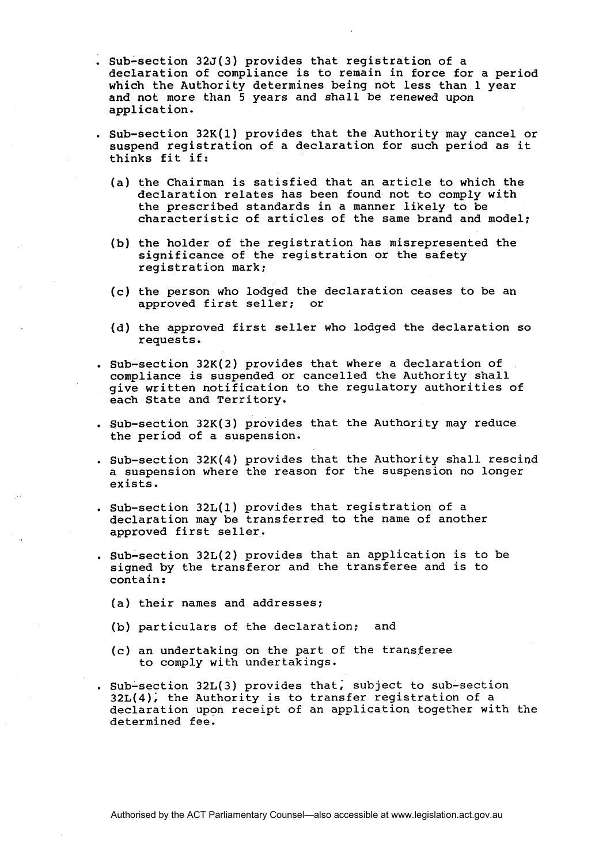- . sub-section 325(3) provides that registration of a declaration of compliance is to remain in force for a period which the Authority determines being not less than 1 year and not more than 5 years and shall be renewed upon application.
- . Sub-section 32K(1) provides that the Authority may cancel or suspend registration of a declaration for such period as it thinks fit if:
	- (a) the Chairman is satisfied that an article to which the declaration relates has been found not to comply with the prescribed standards in a manner likely to be characteristic of articles of the same brand and model;
	- (b) the holder of the registration has misrepresented the significance of the registration or the safety registration mark;
	- (c) the person who lodged the declaration ceases to be an approved first seller:
	- (d) the approved first seller who lodged the declaration so requests.
- . Sub-section 32K(2) provides that where a declaration of compliance is suspended or cancelled the Authority shall give written notification to the regulatory authorities of each State and Territory.
- . Sub-section  $32K(3)$  provides that the Authority may reduce the period of a suspension.
- . Sub-section 32K(4) provides that the Authority shall rescind a suspension where the reason for the suspension no longer exists.
- . Sub-section 32L(1) provides that registration of a declaration may be transferred to the name of another approved first seller.
- . Sub-section  $32L(2)$  provides that an application is to be signed by the transferor and the transferee and is to contain:
	- (a) their names and addresses;
	- (b) particulars of the declaration: and
	- (c) an undertaking on the part of the transferee to comply with undertakings.
- . Sub-section 32L(3) provides that; subject to sub-section  $32L(4)$ , the Authority is to transfer registration of a declaration upon receipt of an application together with the determined fee.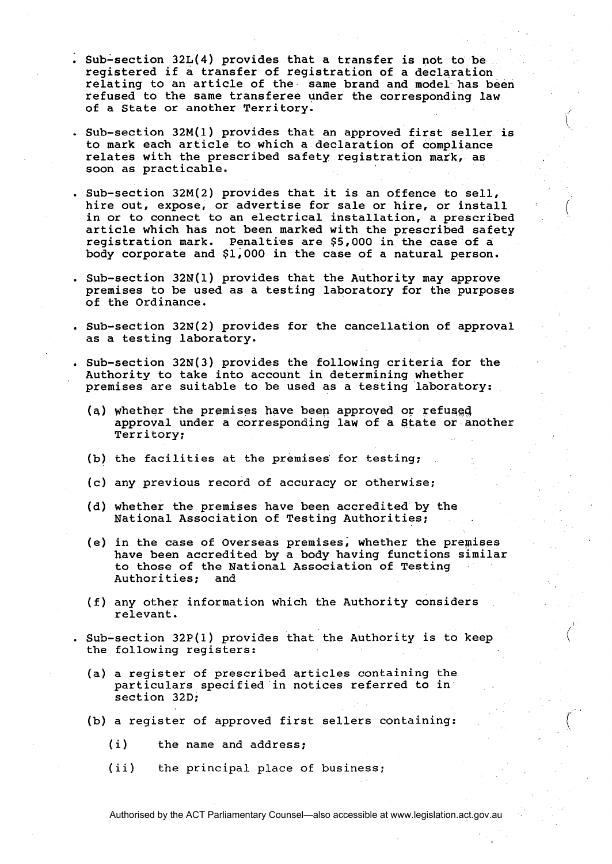- . Sub-section 32L(4) provides that a transfer is not to be registered if a transfer of registration of a declaration relating to an article of the same brand and model has been refused to the same transferee under the corresponding law of a State or another Territory.
- . Sub-section 32M(1) provides that an approved first seller is to mark each article to which a declaration of compliance relates with the prescribed safety registration mark, as soon as practicable.

\

- . Sub-section 32M(2) provides that it is an offence to sell, hire out, expose, or advertise for sale or hire, or install in or to connect to an electrical installation, a prescribed article which has not been marked with the prescribed safety registration mark. Penalties are \$5,000 in the case of a body corporate and \$1,000 in the case of a natural person.
- . Sub-section 32N(1) provides that the Authority may approve premises to be used as a testing laboratory for the purposes of the Ordinance.
- . Sub-section 32N(2) provides for the cancellation of approval as a testing laboratory.
- Sub-section  $32N(3)$  provides the following criteria for the Authority to take into account in determining whether premises are suitable to be used as a testing laboratory:
	- **(8)** whether the premises have been approved or refused approval under a corresponding law of a State or another Territory;
	- (b) the facilities at the premises' for testing;
	- (c) any previous record of accuracy or otherwise;
	- (d) whether the premises have been accredited by the National Association of Testing Authorities;
	- (e) in the case of Overseas premises; whether the premises have been accredited by a body having functions similar to those of the National Association of Testing Authorities;
	- (f) any other information which the Authority considers relevant.

. Sub-section  $32P(1)$  provides that the Authority is to keep the following registers:

- (a) a register of prescribed articles containing the particulars specified in notices referred to in section 32D;
- (b) a register of approved first sellers containing:
	- (i) the name and address;
	- (ii) the principal place of business;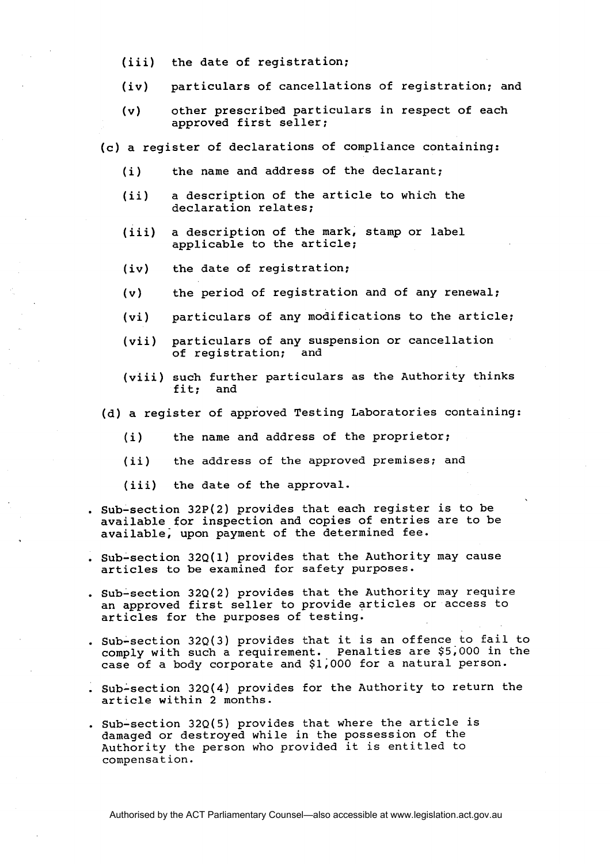- (iii) the date of registration;
- (iv) particulars of cancellations of registration; and
- (v) other prescribed particulars in respect of each approved first seller;

(c) a register of declarations of compliance containing:

- (i) the name and address of the declarant;
- (ii) a description of the article to which the declaration relates;
- (iii) a description of the mark, stamp or label applicable to the article;
- (iv) the date of registration;
- (v) the period of registration and of any renewal;
- (vi) particulars of any modifications to the article;
- (vii) particulars of any suspension or cancellation of registration;
- (viii) such further particulars as the Authority thinks fit; and
- (d) a register of approved Testing Laboratories containing:
	- (i) the name and address of the proprietor;
	- (ii) the address of the approved premises; and
	- (iii) the date of the approval.
- . Sub-section 32P(2) provides that each register is to be available for inspection and copies of entries are to be available; upon payment of the determined fee.
- . Sub-section 32Q(1) provides that the Authority may cause articles to be examined for safety purposes.
- . Sub-section 32Q(2) provides that the Authority may require an approved first seller to provide articles or access to articles for the purposes of testing.
- . Sub-section 32Q(3) provides that it is an offence to fail to comply with such a requirement. Penalties are \$5,000 in the case of a body corporate and \$1;000 for a natural person.
- . sub-section 32Q(4) provides for the Authority to return the article within 2 months.
- . Sub-section  $32Q(5)$  provides that where the article is damaged or destroyed while in the possession of the Authority the person who provided it is entitled to compensation.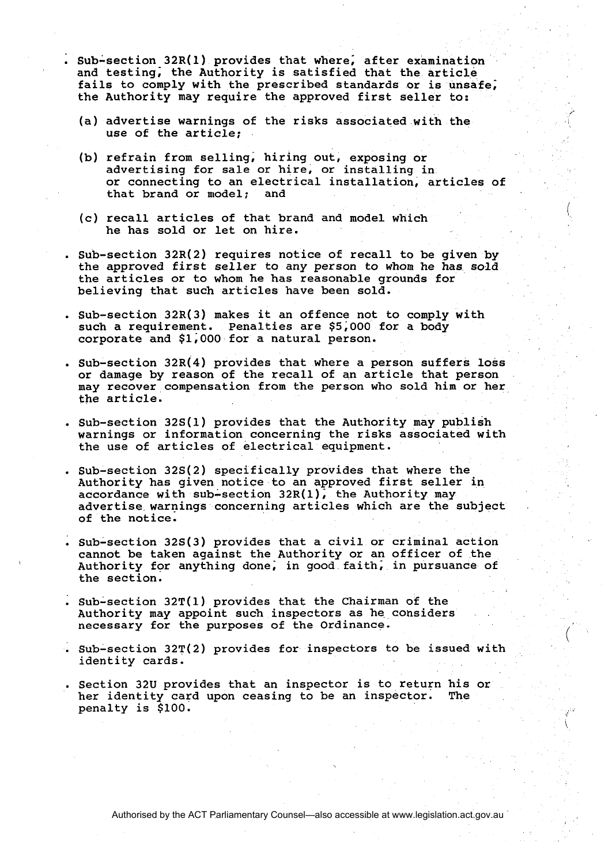- . sub-section 32R(1) provides that where; after examination and testing; the Authority is satisfied that the article fails to comply with the prescribed standards or is unsafe; the Authority may require the approved first seller to:
	- (a) advertise warnings of the risks associated with the use of the article;
	- (b) refrain from selling, hiring out, exposing or advertising for sale or hire, or installing in or connecting to an electrical installation, articles of<br>that brand or model: and that brand or model;
	- (c) recall articles of that brand and model which he has sold or let on hire.
- . Sub-section 32R(2) requires notice of recall to be given by the approved first seller to any person to whom he has sold the articles or to whom he has reasonable grounds for believing that such articles have been sold.
- . Sub-section 32R(3) makes it an offence not to comply with such a requirement. Penalties are \$5;000 for a body corporate and \$1;000 for a natural person.
- . Sub-section 32R(4) provides that where a person suffers loss or damage by reason of the recall of an article that person may recover compensation from the person who sold him or her the article.
- . Sub-section 32S(1) provides that the Authority may publish warnings or information concerning the risks associated with the use of articles of electrical equipment.
- . Sub-section 32S(2) specifically provides that where the Authority has given notice to an approved first seller in accordance with sub-section  $32R(1)$ , the Authority may advertise warnings concerning articles which are the subject of the notice.
- . Sub-section 32S(3) provides that a civil or criminal action cannot be taken against the Authority or an officer of the Authority for anything done, in good faith, in pursuance of the section.
- $Sub-section 32T(1)$  provides that the Chairman of the Authority may appoint such inspectors as he considers
- . Sub-section 32T(2) provides for inspectors to be issued with identity cards.
- Section 32U provides that an inspector is to return his or<br>her identity card upon ceasing to be an inspector. The her identity card upon ceasing to be an inspector. penalty is \$100.

Authorised by the ACT Parliamentary Counsel—also accessible at www.legislation.act.gov.au

\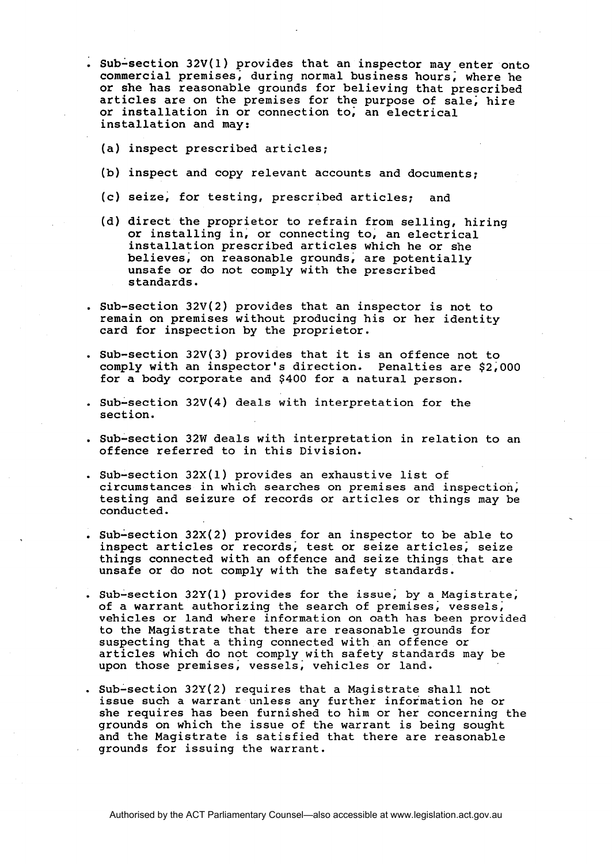- . Sub-section 32V(1) provides that an inspector may enter onto commercial premises; during normal business hours; where he or she has reasonable grounds for believing that prescribed articles are on the premises for the purpose of sale; hire or installation in or connection to; an electrical installation and may:
	- (a) inspect prescribed articles;
	- (b) inspect and copy relevant accounts and documents;
	- (c) seize, for testing, prescribed articles; and
	- (d) direct the proprietor to refrain from selling, hiring or installing in, or connecting to, an electrical installation prescribed articles which he or she believes, on reasonable grounds, are potentially unsafe or do not comply with the prescribed standards.
- . Sub-section 32V(2) provides that an inspector is not to remain on premises without producing his or her identity card for inspection by the proprietor.
- . Sub-section 32V(3) provides that it is an offence not to comply with an inspector's direction. Penalties are \$2,000 for a body corporate and \$400 for a natural person.
- . Sub-section  $32V(4)$  deals with interpretation for the section.
- . Sub-section 32W deals with interpretation in relation to an offence referred to in this Division.
- . Sub-section  $32X(1)$  provides an exhaustive list of circumstances in which searches on premises and inspection; testing and seizure of records or articles or things may be conducted.
- . Sub-section  $32X(2)$  provides for an inspector to be able to inspect articles or records; test or seize articles; seize things connected with an offence and seize things that are unsafe or do not comply with the safety standards.
- . Sub-section 32Y(1) provides for the issue; by a Magistrate; of a warrant authorizing the search of premises; vessels; vehicles or land where information on oath has been provided to the Magistrate that there are reasonable grounds for suspecting that a thing connected with an offence or articles which do not comply with safety standards may be upon those premises; vessels; vehicles or land.
- . Sub-section  $32Y(2)$  requires that a Magistrate shall not issue such a warrant unless any further information he or she requires has been furnished to him or her concerning the grounds on which the issue of the warrant is being sought and the Magistrate is satisfied that there are reasonable grounds for issuing the warrant.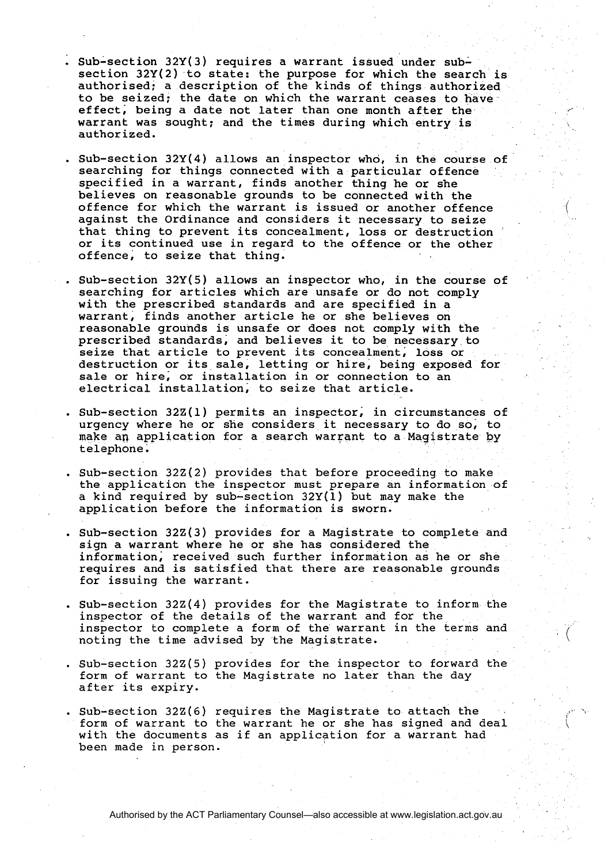- . Sub-section 32Y(3) requires a warrant issued under subsection 32Y(2) to state: the purpose for which the search is authorised; a description of the kinds of things authorized to be seized; the date on which the warrant ceases to have effect, being a date not later than one month after the warrant was sought; and the times during which entry is authorized.
- . Sub-section 32Y(4) allows an inspector who, in the course of searching for things connected with a particular offence specified in a warrant, finds another thing he or she believes on reasonable grounds to be connected with the offence for which the warrant is issued or another offence against the Ordinance and considers it necessary to seize that thing to prevent its concealment, loss or destruction or its continued use in regard to the offence or the other offence, to seize that thing.
- . Sub-section 32Y(5) allows an inspector who, in the course of searching for articles which are unsafe or do not comply with the prescribed standards and are specified in a warrant, finds another article he or she believes on reasonable grounds is unsafe or does not comply with the prescribed standards, and believes it to be necessary to seize that article to prevent its concealment; loss or destruction or its sale, letting or hire, being exposed for sale or hire; or installation in or connection to an electrical installation, to seize that article.
- . Sub-section 32Z(1) permits an inspector; in circumstances of urgency where he or she considers it necessary to do so; to make an application for a search warrant to a Magistrate by telephone.
- . Sub-section 32Z(2) provides that before proceeding to make the application the inspector must prepare an information of a kind required by sub-section  $32Y(1)$  but may make the application before the information is sworn.
- . Sub-section 32Z(3) provides for a Magistrate to complete and sign a warrant where he or she has considered the information; received such further information as he or she requires and is satisfied that there are reasonable grounds for issuing the warrant.
- . Sub-section 322(4) provides for the Magistrate to inform the inspector of the details of the warrant and for the inspector to complete a form of the warrant in the terms and noting the time advised by the Magistrate.
- . Sub-section 322(5) provides for the inspector to forward the form of warrant to the Magistrate no later than the day after its expiry.
- Sub-section 32Z(6) requires the Magistrate to attach the form of warrant to the warrant he or she has signed and deal with the documents as if an application for a warrant had been made in person.

Authorised by the ACT Parliamentary Counsel—also accessible at www.legislation.act.gov.au

 $\int_0^{\ln 2}$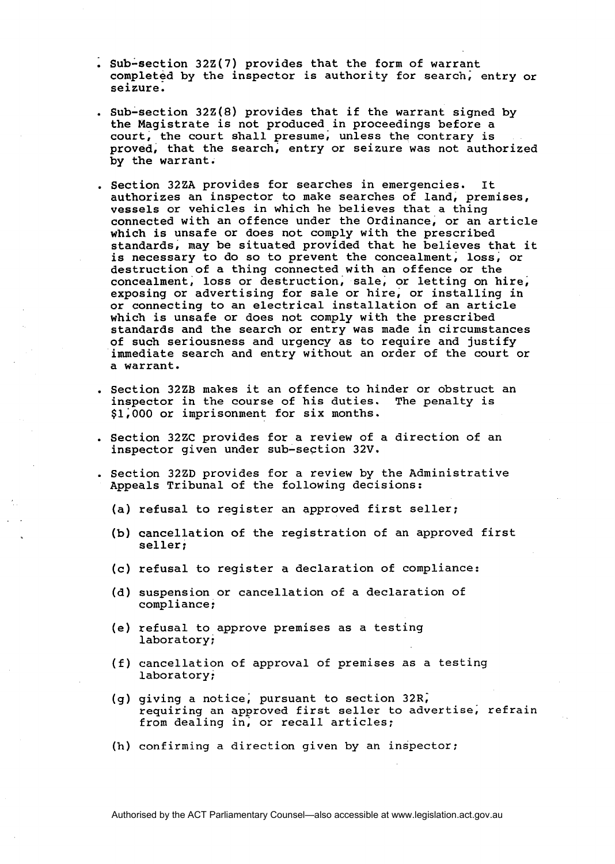- $Sub-section$  32Z(7) provides that the form of warrant completed by the inspector is authority for search; entry or seizure.
- . Sub-section 322(8) provides that if the warrant signed by the Magistrate is not produced in proceedings before a court, the court shall presume; unless the contrary is proved, that the search, entry or seizure was not authorized by the warrant.
- . Section 32ZA provides for searches in emergencies. It authorizes an inspector to make searches of land, premises, vessels or vehicles in which he believes that a thing connected with an offence under the Ordinance, or an article which is unsafe or does not comply with the prescribed standards, may be situated provided that he believes that it is necessary to do so to prevent the concealment; loss, or destruction of a thing connected with an offence or the concealment; loss or destruction, sale, or letting on hire, exposing or advertising for sale or hire; or installing in or connecting to an electrical installation of an article which is unsafe or does not comply with the prescribed standards and the search or entry was made in circumstances of such seriousness and urgency as to require and justify immediate search and entry without an order of the court or a warrant.
- . Section 32ZB makes it an offence to hinder or obstruct an inspector in the course of his duties. The penalty is \$1; 000 or imprisonment for six months.
- . Section 32ZC provides for a review of a direction of an inspector given under sub-section 32V.
- . Section 32ZD provides for a review by the Administrative Appeals Tribunal of the following decisions:
	- (a) refusal to register an approved first seller;
	- (b) cancellation of the registration of an approved first seller;
	- (c) refusal to register a declaration of compliance:
	- (d) suspension or cancellation of a declaration of compliance;
	- (e) refusal to approve premises as a testing laboratory;
	- (f) cancellation of approval of premises as a testing laboratory:
	- (g) giving a notice, pursuant to section  $32R$ , requiring an approved first seller to advertise; refrain from dealing in; or recall articles;
	- (h) confirming a direction given by an inspector;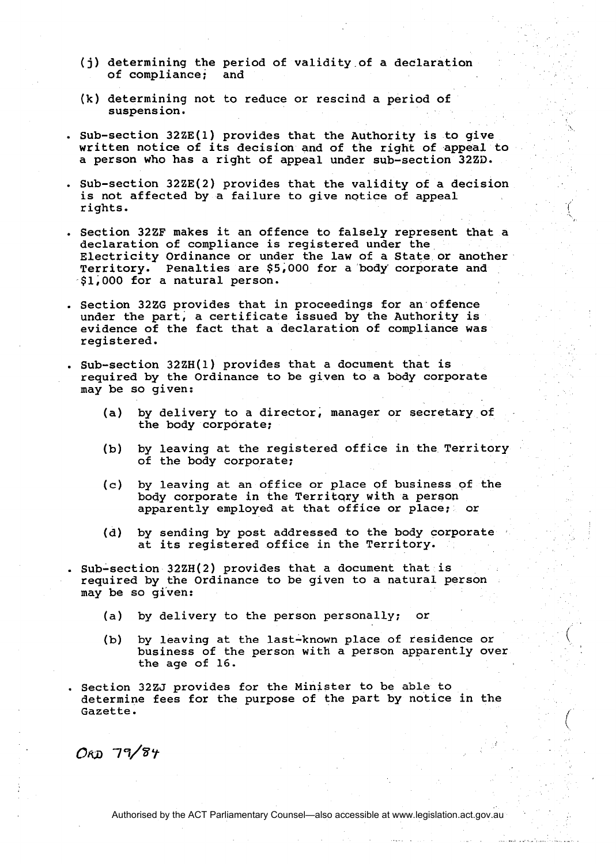- **(j)** determining the period of validity.of a declaration of compliance;
- (k) determining not to reduce or rescind a period of suspension.
- . sub-section 32ZE(1) provides that the Authority is to give written notice of its decision and of the right of appeal to a person who has a right of appeal under sub-section 3220.
- . Sub-section 32ZE(2) provides that the validity of a decision is not affected by a failure to give notice of appeal rights.
- . Seqtion 32ZF makes it an offence to falsely represent that a declaration of compliance is registered under the Electricity Ordinance or under the law of a State or another Territory. Penalties are \$5,000 for a body' corporate and \$1,000 for a natural person.
- . Section 32ZG provides that in proceedings for an offence under the part, a certificate issued by the Authority is evidence of the fact that a declaration of compliance was registered.
- . Sub-section 32ZH(1) provides that a document that is required by the Ordinance to be given to a body corporate may be so given:
	- (a) by delivery to a director, manager or secretary of the body corporate;
	- (b) by leaving at the registered office in the Territory of the body corporate;
	- (c) by leaving at an office or place of business of the body corporate in the Territary with a person apparently employed at that office or place; or
	- (d) by sending by post addressed to the body corporate at its registered office in the Territory.
- . Sub-section 32ZH(2) provides that a document that is required by the Ordinance to be given to a natural person may be so gi'ven:
	- (a) by delivery to the person personally; or
	- (b) by leaving at the last-known place of residence or business of the person with a person apparently over the age of 16.
- . Section 3225 provides for the Minister to be able to determine fees for the purpose of the part by notice in the Gazette.

 $O_{KD}$  79/84